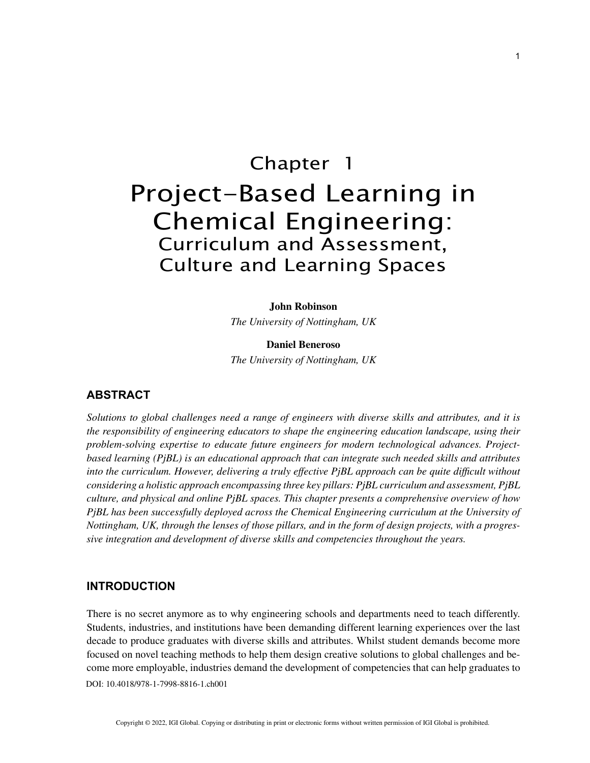# Chapter 1 Project-Based Learning in Chemical Engineering: Curriculum and Assessment, Culture and Learning Spaces

#### **John Robinson**

*The University of Nottingham, UK*

## **Daniel Beneroso**

*The University of Nottingham, UK*

## **ABSTRACT**

*Solutions to global challenges need a range of engineers with diverse skills and attributes, and it is the responsibility of engineering educators to shape the engineering education landscape, using their problem-solving expertise to educate future engineers for modern technological advances. Projectbased learning (PjBL) is an educational approach that can integrate such needed skills and attributes into the curriculum. However, delivering a truly effective PjBL approach can be quite difficult without considering a holistic approach encompassing three key pillars: PjBL curriculum and assessment, PjBL culture, and physical and online PjBL spaces. This chapter presents a comprehensive overview of how PjBL has been successfully deployed across the Chemical Engineering curriculum at the University of Nottingham, UK, through the lenses of those pillars, and in the form of design projects, with a progressive integration and development of diverse skills and competencies throughout the years.*

## **INTRODUCTION**

DOI: 10.4018/978-1-7998-8816-1.ch001 There is no secret anymore as to why engineering schools and departments need to teach differently. Students, industries, and institutions have been demanding different learning experiences over the last decade to produce graduates with diverse skills and attributes. Whilst student demands become more focused on novel teaching methods to help them design creative solutions to global challenges and become more employable, industries demand the development of competencies that can help graduates to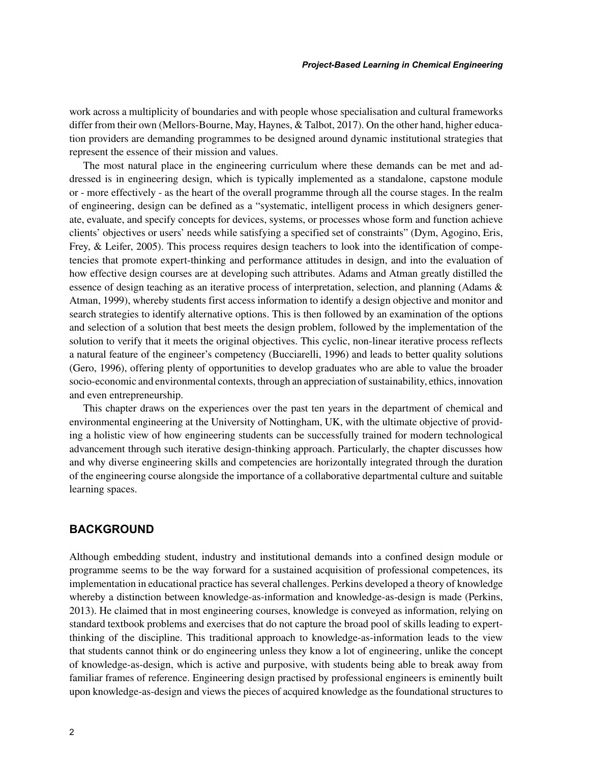work across a multiplicity of boundaries and with people whose specialisation and cultural frameworks differ from their own (Mellors-Bourne, May, Haynes, & Talbot, 2017). On the other hand, higher education providers are demanding programmes to be designed around dynamic institutional strategies that represent the essence of their mission and values.

The most natural place in the engineering curriculum where these demands can be met and addressed is in engineering design, which is typically implemented as a standalone, capstone module or - more effectively - as the heart of the overall programme through all the course stages. In the realm of engineering, design can be defined as a "systematic, intelligent process in which designers generate, evaluate, and specify concepts for devices, systems, or processes whose form and function achieve clients' objectives or users' needs while satisfying a specified set of constraints" (Dym, Agogino, Eris, Frey, & Leifer, 2005). This process requires design teachers to look into the identification of competencies that promote expert-thinking and performance attitudes in design, and into the evaluation of how effective design courses are at developing such attributes. Adams and Atman greatly distilled the essence of design teaching as an iterative process of interpretation, selection, and planning (Adams & Atman, 1999), whereby students first access information to identify a design objective and monitor and search strategies to identify alternative options. This is then followed by an examination of the options and selection of a solution that best meets the design problem, followed by the implementation of the solution to verify that it meets the original objectives. This cyclic, non-linear iterative process reflects a natural feature of the engineer's competency (Bucciarelli, 1996) and leads to better quality solutions (Gero, 1996), offering plenty of opportunities to develop graduates who are able to value the broader socio-economic and environmental contexts, through an appreciation of sustainability, ethics, innovation and even entrepreneurship.

This chapter draws on the experiences over the past ten years in the department of chemical and environmental engineering at the University of Nottingham, UK, with the ultimate objective of providing a holistic view of how engineering students can be successfully trained for modern technological advancement through such iterative design-thinking approach. Particularly, the chapter discusses how and why diverse engineering skills and competencies are horizontally integrated through the duration of the engineering course alongside the importance of a collaborative departmental culture and suitable learning spaces.

# **BACKGROUND**

Although embedding student, industry and institutional demands into a confined design module or programme seems to be the way forward for a sustained acquisition of professional competences, its implementation in educational practice has several challenges. Perkins developed a theory of knowledge whereby a distinction between knowledge-as-information and knowledge-as-design is made (Perkins, 2013). He claimed that in most engineering courses, knowledge is conveyed as information, relying on standard textbook problems and exercises that do not capture the broad pool of skills leading to expertthinking of the discipline. This traditional approach to knowledge-as-information leads to the view that students cannot think or do engineering unless they know a lot of engineering, unlike the concept of knowledge-as-design, which is active and purposive, with students being able to break away from familiar frames of reference. Engineering design practised by professional engineers is eminently built upon knowledge-as-design and views the pieces of acquired knowledge as the foundational structures to